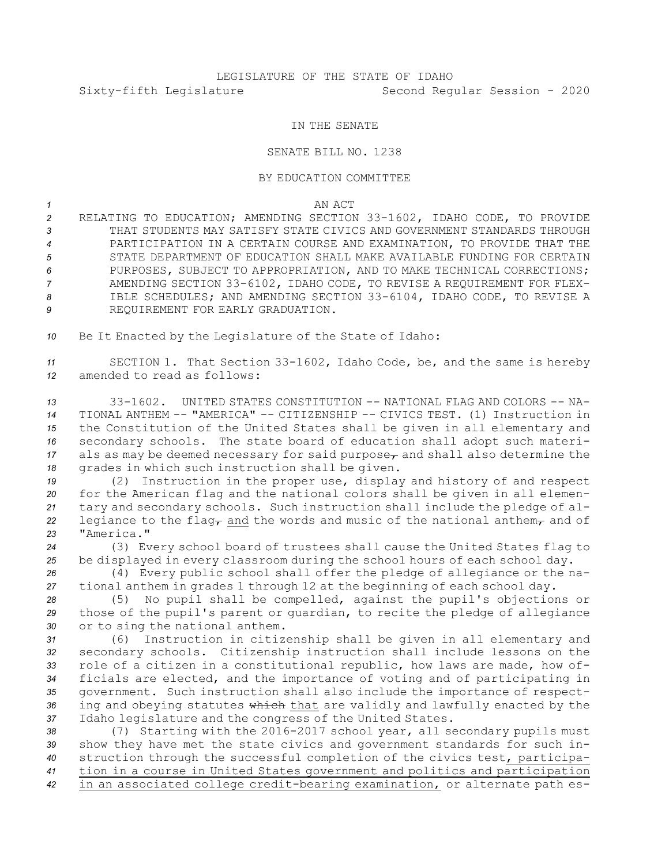## IN THE SENATE

## SENATE BILL NO. 1238

## BY EDUCATION COMMITTEE

## *1* AN ACT

 RELATING TO EDUCATION; AMENDING SECTION 33-1602, IDAHO CODE, TO PROVIDE THAT STUDENTS MAY SATISFY STATE CIVICS AND GOVERNMENT STANDARDS THROUGH PARTICIPATION IN A CERTAIN COURSE AND EXAMINATION, TO PROVIDE THAT THE STATE DEPARTMENT OF EDUCATION SHALL MAKE AVAILABLE FUNDING FOR CERTAIN 6 PURPOSES, SUBJECT TO APPROPRIATION, AND TO MAKE TECHNICAL CORRECTIONS; AMENDING SECTION 33-6102, IDAHO CODE, TO REVISE A REQUIREMENT FOR FLEX- IBLE SCHEDULES; AND AMENDING SECTION 33-6104, IDAHO CODE, TO REVISE A REQUIREMENT FOR EARLY GRADUATION.

*<sup>10</sup>* Be It Enacted by the Legislature of the State of Idaho:

*<sup>11</sup>* SECTION 1. That Section 33-1602, Idaho Code, be, and the same is hereby *12* amended to read as follows:

 33-1602. UNITED STATES CONSTITUTION -- NATIONAL FLAG AND COLORS -- NA- TIONAL ANTHEM -- "AMERICA" -- CITIZENSHIP -- CIVICS TEST. (1) Instruction in the Constitution of the United States shall be given in all elementary and secondary schools. The state board of education shall adopt such materi- als as may be deemed necessary for said purpose $_{\tau}$  and shall also determine the grades in which such instruction shall be given.

 (2) Instruction in the proper use, display and history of and respect for the American flag and the national colors shall be given in all elemen- tary and secondary schools. Such instruction shall include the pledge of al-22 legiance to the flag<sub>r</sub> and the words and music of the national anthem<sub>r</sub> and of "America."

*<sup>24</sup>* (3) Every school board of trustees shall cause the United States flag to *<sup>25</sup>* be displayed in every classroom during the school hours of each school day.

*<sup>26</sup>* (4) Every public school shall offer the pledge of allegiance or the na-*<sup>27</sup>* tional anthem in grades 1 through 12 at the beginning of each school day.

*<sup>28</sup>* (5) No pupil shall be compelled, against the pupil's objections or *<sup>29</sup>* those of the pupil's parent or guardian, to recite the pledge of allegiance *<sup>30</sup>* or to sing the national anthem.

 (6) Instruction in citizenship shall be given in all elementary and secondary schools. Citizenship instruction shall include lessons on the role of <sup>a</sup> citizen in <sup>a</sup> constitutional republic, how laws are made, how of- ficials are elected, and the importance of voting and of participating in government. Such instruction shall also include the importance of respect-36 ing and obeying statutes which that are validly and lawfully enacted by the Idaho legislature and the congress of the United States.

 (7) Starting with the 2016-2017 school year, all secondary pupils must show they have met the state civics and government standards for such in- struction through the successful completion of the civics test, participa- tion in <sup>a</sup> course in United States government and politics and participation in an associated college credit-bearing examination, or alternate path es-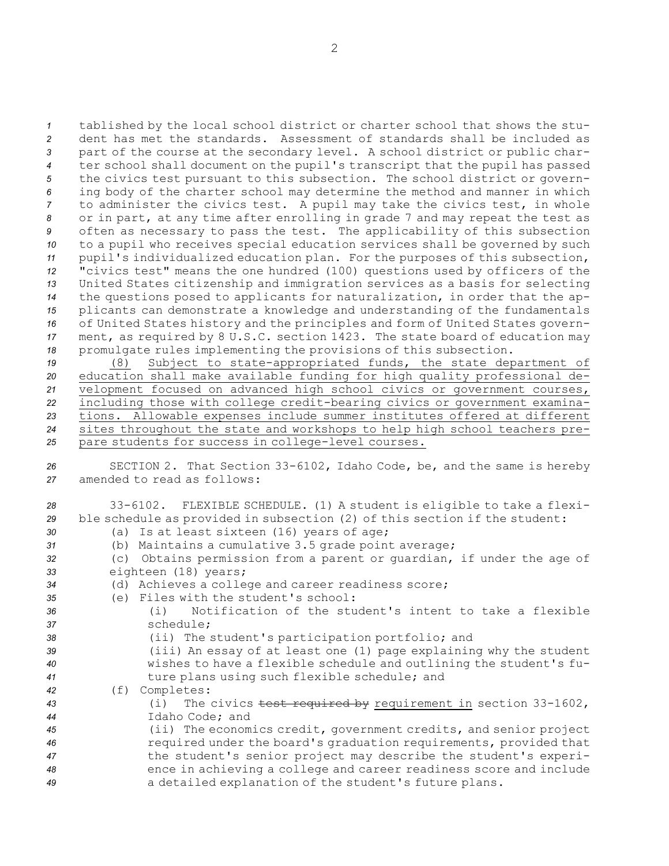tablished by the local school district or charter school that shows the stu- dent has met the standards. Assessment of standards shall be included as part of the course at the secondary level. <sup>A</sup> school district or public char- ter school shall document on the pupil's transcript that the pupil has passed the civics test pursuant to this subsection. The school district or govern- ing body of the charter school may determine the method and manner in which to administer the civics test. <sup>A</sup> pupil may take the civics test, in whole or in part, at any time after enrolling in grade 7 and may repeat the test as often as necessary to pass the test. The applicability of this subsection to <sup>a</sup> pupil who receives special education services shall be governed by such pupil's individualized education plan. For the purposes of this subsection, "civics test" means the one hundred (100) questions used by officers of the United States citizenship and immigration services as <sup>a</sup> basis for selecting the questions posed to applicants for naturalization, in order that the ap- plicants can demonstrate <sup>a</sup> knowledge and understanding of the fundamentals of United States history and the principles and form of United States govern- ment, as required by 8 U.S.C. section 1423. The state board of education may promulgate rules implementing the provisions of this subsection.

 (8) Subject to state-appropriated funds, the state department of education shall make available funding for high quality professional de- velopment focused on advanced high school civics or government courses, including those with college credit-bearing civics or government examina- tions. Allowable expenses include summer institutes offered at different sites throughout the state and workshops to help high school teachers pre-pare students for success in college-level courses.

*<sup>26</sup>* SECTION 2. That Section 33-6102, Idaho Code, be, and the same is hereby *27* amended to read as follows:

 33-6102. FLEXIBLE SCHEDULE. (1) <sup>A</sup> student is eligible to take <sup>a</sup> flexi- ble schedule as provided in subsection (2) of this section if the student: (a) Is at least sixteen (16) years of age; (b) Maintains <sup>a</sup> cumulative 3.5 grade point average; (c) Obtains permission from <sup>a</sup> parent or guardian, if under the age of eighteen (18) years; (d) Achieves <sup>a</sup> college and career readiness score; (e) Files with the student's school: (i) Notification of the student's intent to take <sup>a</sup> flexible schedule; (ii) The student's participation portfolio; and (iii) An essay of at least one (1) page explaining why the student wishes to have <sup>a</sup> flexible schedule and outlining the student's fu- ture plans using such flexible schedule; and (f) Completes: (i) The civics test required by requirement in section 33-1602, Idaho Code; and (ii) The economics credit, government credits, and senior project required under the board's graduation requirements, provided that the student's senior project may describe the student's experi- ence in achieving <sup>a</sup> college and career readiness score and include <sup>a</sup> detailed explanation of the student's future plans.